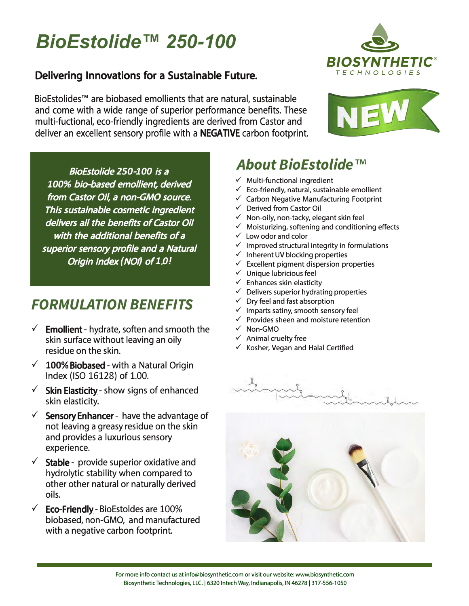





- $\checkmark$
- $\checkmark$  $\checkmark$
- $\checkmark$
- $\checkmark$
- $\checkmark$
- くくくくくく くくくくく くうへん
	- $\mathcal{A}_{\rho}$

 $\checkmark$